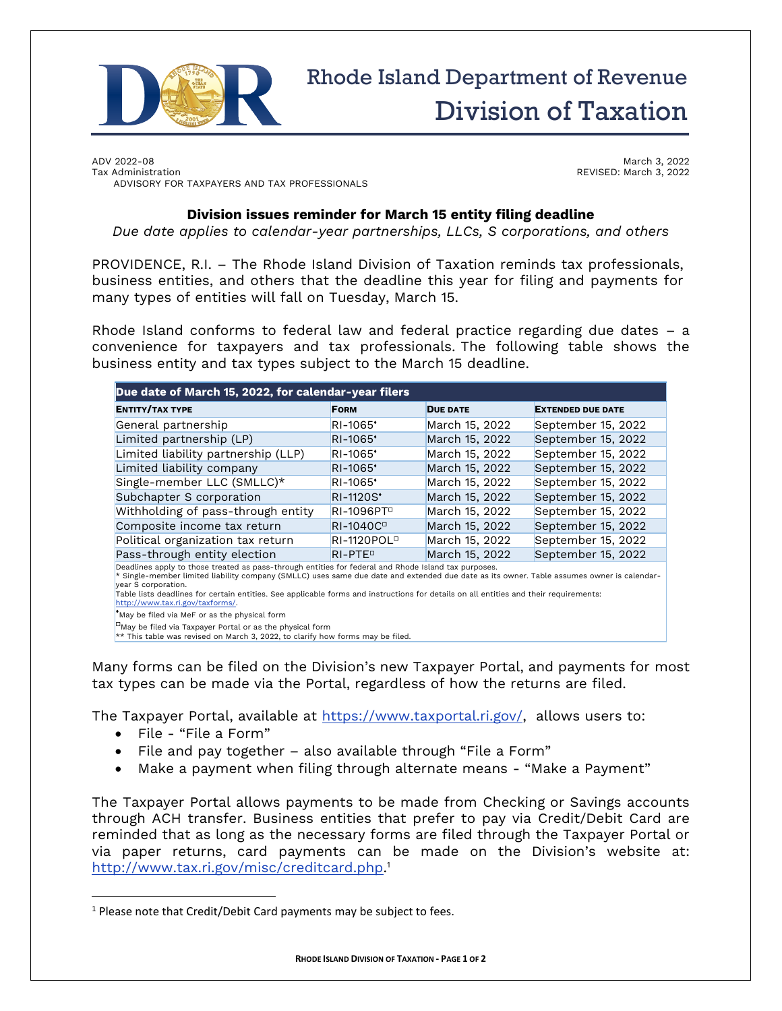

## Rhode Island Department of Revenue Division of Taxation

ADV 2022-08 Tax Administration ADVISORY FOR TAXPAYERS AND TAX PROFESSIONALS

March 3, 2022 REVISED: March 3, 2022

## **Division issues reminder for March 15 entity filing deadline**

*Due date applies to calendar-year partnerships, LLCs, S corporations, and others*

PROVIDENCE, R.I. – The Rhode Island Division of Taxation reminds tax professionals, business entities, and others that the deadline this year for filing and payments for many types of entities will fall on Tuesday, March 15.

Rhode Island conforms to federal law and federal practice regarding due dates – a convenience for taxpayers and tax professionals. The following table shows the business entity and tax types subject to the March 15 deadline.

| Due date of March 15, 2022, for calendar-year filers |                         |                 |                          |
|------------------------------------------------------|-------------------------|-----------------|--------------------------|
| <b>ENTITY/TAX TYPE</b>                               | <b>FORM</b>             | <b>DUE DATE</b> | <b>EXTENDED DUE DATE</b> |
| General partnership                                  | RI-1065*                | March 15, 2022  | September 15, 2022       |
| Limited partnership (LP)                             | RI-1065*                | March 15, 2022  | September 15, 2022       |
| Limited liability partnership (LLP)                  | RI-1065*                | March 15, 2022  | September 15, 2022       |
| Limited liability company                            | RI-1065*                | March 15, 2022  | September 15, 2022       |
| Single-member LLC (SMLLC)*                           | RI-1065'                | March 15, 2022  | September 15, 2022       |
| Subchapter S corporation                             | RI-1120S*               | March 15, 2022  | September 15, 2022       |
| Withholding of pass-through entity                   | RI-1096PT <sup>D</sup>  | March 15, 2022  | September 15, 2022       |
| Composite income tax return                          | RI-1040C <sup>D</sup>   | March 15, 2022  | September 15, 2022       |
| Political organization tax return                    | RI-1120POL <sup>D</sup> | March 15, 2022  | September 15, 2022       |
| Pass-through entity election                         | RI-PTE <sup>P</sup>     | March 15, 2022  | September 15, 2022       |

Deadlines apply to those treated as pass-through entities for federal and Rhode Island tax purposes.

\* Single-member limited liability company (SMLLC) uses same due date and extended due date as its owner. Table assumes owner is calendarear S corporation.

Table lists deadlines for certain entities. See applicable forms and instructions for details on all entities and their requirements: [http://www.tax.ri.gov/taxforms/.](http://www.tax.ri.gov/taxforms/)

 $^{\bullet}$ May be filed via MeF or as the physical form

 $\Box$ May be filed via Taxpayer Portal or as the physical form

 $**$  This table was revised on March 3, 2022, to clarify how forms may be filed.

Many forms can be filed on the Division's new Taxpayer Portal, and payments for most tax types can be made via the Portal, regardless of how the returns are filed.

The Taxpayer Portal, available at [https://www.taxportal.ri.gov/,](https://www.taxportal.ri.gov/) allows users to:

- File "File a Form"
- File and pay together also available through "File a Form"
- Make a payment when filing through alternate means "Make a Payment"

The Taxpayer Portal allows payments to be made from Checking or Savings accounts through ACH transfer. Business entities that prefer to pay via Credit/Debit Card are reminded that as long as the necessary forms are filed through the Taxpayer Portal or via paper returns, card payments can be made on the Division's website at: [http://www.tax.ri.gov/misc/creditcard.php.](http://www.tax.ri.gov/misc/creditcard.php) 1

 $1$  Please note that Credit/Debit Card payments may be subject to fees.